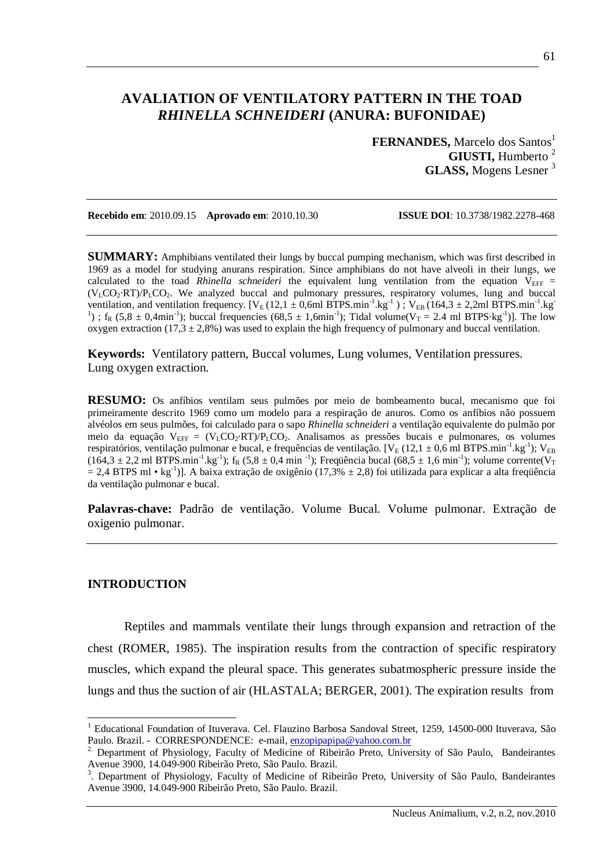# **AVALIATION OF VENTILATORY PATTERN IN THE TOAD** *RHINELLA SCHNEIDERI* **(ANURA: BUFONIDAE)**

**FERNANDES, Marcelo dos Santos<sup>1</sup> GIUSTI,** Humberto <sup>2</sup> **GLASS,** Mogens Lesner <sup>3</sup>

**Recebido em**: 2010.09.15 **Aprovado em**: 2010.10.30 **ISSUE DOI**: 10.3738/1982.2278-468

**SUMMARY:** Amphibians ventilated their lungs by buccal pumping mechanism, which was first described in 1969 as a model for studying anurans respiration. Since amphibians do not have alveoli in their lungs, we calculated to the toad *Rhinella schneideri* the equivalent lung ventilation from the equation  $V_{\text{EFF}}$  = (VLCO2·RT)/PLCO2. We analyzed buccal and pulmonary pressures, respiratory volumes, lung and buccal ventilation, and ventilation frequency.  $[V_E(12,1 \pm 0,6m1 BTPS.min^{-1} \text{.kg}^{-1})$ ;  $V_{EB}(164,3 \pm 2,2m1 BTPS.min^{-1} \text{.kg}^{-1})$ <sup>1</sup>);  $f_R$  (5,8  $\pm$  0,4min<sup>-1</sup>); buccal frequencies (68,5  $\pm$  1,6min<sup>-1</sup>); Tidal volume(V<sub>T</sub> = 2.4 ml BTPS·kg<sup>-1</sup>)]. The low oxygen extraction  $(17,3 \pm 2,8\%)$  was used to explain the high frequency of pulmonary and buccal ventilation.

**Keywords:** Ventilatory pattern, Buccal volumes, Lung volumes, Ventilation pressures. Lung oxygen extraction.

**RESUMO:** Os anfíbios ventilam seus pulmões por meio de bombeamento bucal, mecanismo que foi primeiramente descrito 1969 como um modelo para a respiração de anuros. Como os anfíbios não possuem alvéolos em seus pulmões, foi calculado para o sapo *Rhinella schneideri* a ventilação equivalente do pulmão por meio da equação  $V_{\text{FFF}} = (V_{\text{L}}CO_2 \cdot RT)/P_{\text{L}}CO_2$ . Analisamos as pressões bucais e pulmonares, os volumes respiratórios, ventilação pulmonar e bucal, e frequências de ventilação. [VE (12,1 ± 0,6 ml BTPS.min $^{-1}$ .kg $^{-1}$ ); VEB  $(164.3 \pm 2.2 \text{ ml BTPS.min}^{-1} \text{ kg}^{-1})$ ; f<sub>R</sub>  $(5.8 \pm 0.4 \text{ min}^{-1})$ ; Frequência bucal  $(68.5 \pm 1.6 \text{ min}^{-1})$ ; volume corrente(V<sub>T</sub>  $= 2.4$  BTPS ml • kg<sup>-1</sup>)]. A baixa extração de oxigênio (17,3%  $\pm$  2,8) foi utilizada para explicar a alta freqüência da ventilação pulmonar e bucal.

**Palavras-chave:** Padrão de ventilação. Volume Bucal. Volume pulmonar. Extração de oxigenio pulmonar.

#### **INTRODUCTION**

-

Reptiles and mammals ventilate their lungs through expansion and retraction of the chest (ROMER, 1985). The inspiration results from the contraction of specific respiratory muscles, which expand the pleural space. This generates subatmospheric pressure inside the lungs and thus the suction of air (HLASTALA; BERGER, 2001). The expiration results from

<sup>&</sup>lt;sup>1</sup> Educational Foundation of Ituverava. Cel. Flauzino Barbosa Sandoval Street, 1259, 14500-000 Ituverava, São Paulo. Brazil. - CORRESPONDENCE: e-mail, enzopipapipa@yahoo.com.br

<sup>&</sup>lt;sup>2.</sup> Department of Physiology, Faculty of Medicine of Ribeirão Preto, University of São Paulo, Bandeirantes Avenue 3900, 14.049-900 Ribeirão Preto, São Paulo. Brazil.

<sup>&</sup>lt;sup>3</sup>. Department of Physiology, Faculty of Medicine of Ribeirão Preto, University of São Paulo, Bandeirantes Avenue 3900, 14.049-900 Ribeirão Preto, São Paulo. Brazil.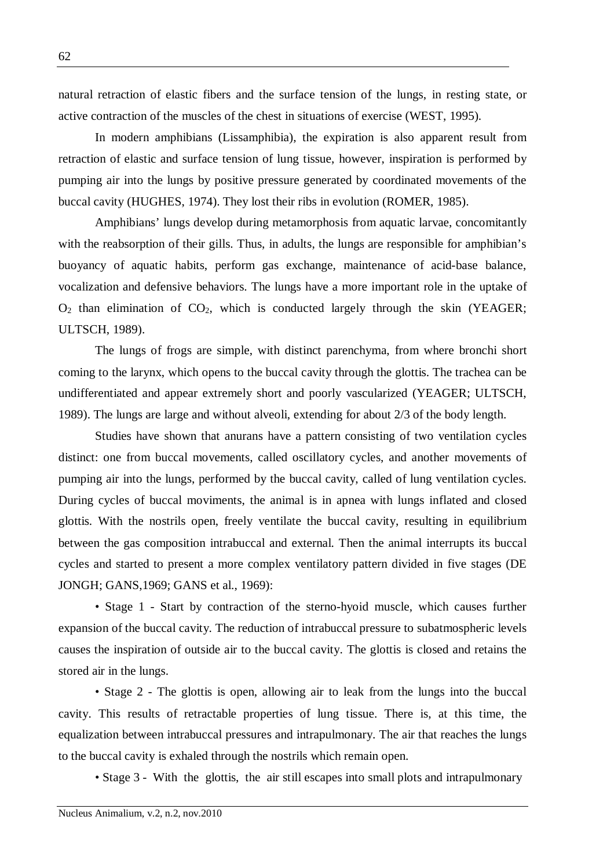natural retraction of elastic fibers and the surface tension of the lungs, in resting state, or active contraction of the muscles of the chest in situations of exercise (WEST, 1995).

In modern amphibians (Lissamphibia), the expiration is also apparent result from retraction of elastic and surface tension of lung tissue, however, inspiration is performed by pumping air into the lungs by positive pressure generated by coordinated movements of the buccal cavity (HUGHES, 1974). They lost their ribs in evolution (ROMER, 1985).

Amphibians' lungs develop during metamorphosis from aquatic larvae, concomitantly with the reabsorption of their gills. Thus, in adults, the lungs are responsible for amphibian's buoyancy of aquatic habits, perform gas exchange, maintenance of acid-base balance, vocalization and defensive behaviors. The lungs have a more important role in the uptake of  $O_2$  than elimination of  $CO_2$ , which is conducted largely through the skin (YEAGER; ULTSCH, 1989).

The lungs of frogs are simple, with distinct parenchyma, from where bronchi short coming to the larynx, which opens to the buccal cavity through the glottis. The trachea can be undifferentiated and appear extremely short and poorly vascularized (YEAGER; ULTSCH, 1989). The lungs are large and without alveoli, extending for about 2/3 of the body length.

Studies have shown that anurans have a pattern consisting of two ventilation cycles distinct: one from buccal movements, called oscillatory cycles, and another movements of pumping air into the lungs, performed by the buccal cavity, called of lung ventilation cycles. During cycles of buccal moviments, the animal is in apnea with lungs inflated and closed glottis. With the nostrils open, freely ventilate the buccal cavity, resulting in equilibrium between the gas composition intrabuccal and external. Then the animal interrupts its buccal cycles and started to present a more complex ventilatory pattern divided in five stages (DE JONGH; GANS,1969; GANS et al., 1969):

• Stage 1 - Start by contraction of the sterno-hyoid muscle, which causes further expansion of the buccal cavity. The reduction of intrabuccal pressure to subatmospheric levels causes the inspiration of outside air to the buccal cavity. The glottis is closed and retains the stored air in the lungs.

• Stage 2 - The glottis is open, allowing air to leak from the lungs into the buccal cavity. This results of retractable properties of lung tissue. There is, at this time, the equalization between intrabuccal pressures and intrapulmonary. The air that reaches the lungs to the buccal cavity is exhaled through the nostrils which remain open.

• Stage 3 - With the glottis, the air still escapes into small plots and intrapulmonary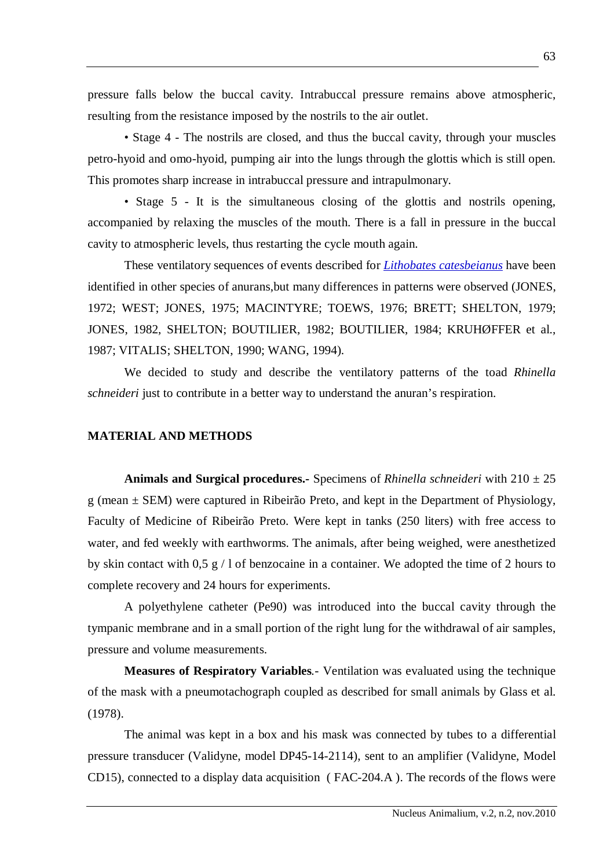pressure falls below the buccal cavity. Intrabuccal pressure remains above atmospheric, resulting from the resistance imposed by the nostrils to the air outlet.

• Stage 4 - The nostrils are closed, and thus the buccal cavity, through your muscles petro-hyoid and omo-hyoid, pumping air into the lungs through the glottis which is still open. This promotes sharp increase in intrabuccal pressure and intrapulmonary.

• Stage 5 - It is the simultaneous closing of the glottis and nostrils opening, accompanied by relaxing the muscles of the mouth. There is a fall in pressure in the buccal cavity to atmospheric levels, thus restarting the cycle mouth again.

These ventilatory sequences of events described for *Lithobates catesbeianus* have been identified in other species of anurans,but many differences in patterns were observed (JONES, 1972; WEST; JONES, 1975; MACINTYRE; TOEWS, 1976; BRETT; SHELTON, 1979; JONES, 1982, SHELTON; BOUTILIER, 1982; BOUTILIER, 1984; KRUHØFFER et al., 1987; VITALIS; SHELTON, 1990; WANG, 1994).

We decided to study and describe the ventilatory patterns of the toad *Rhinella schneideri* just to contribute in a better way to understand the anuran's respiration.

# **MATERIAL AND METHODS**

**Animals and Surgical procedures.-** Specimens of *Rhinella schneideri* with 210 ± 25 g (mean ± SEM) were captured in Ribeirão Preto, and kept in the Department of Physiology, Faculty of Medicine of Ribeirão Preto. Were kept in tanks (250 liters) with free access to water, and fed weekly with earthworms. The animals, after being weighed, were anesthetized by skin contact with 0,5 g  $/1$  of benzocaine in a container. We adopted the time of 2 hours to complete recovery and 24 hours for experiments.

A polyethylene catheter (Pe90) was introduced into the buccal cavity through the tympanic membrane and in a small portion of the right lung for the withdrawal of air samples, pressure and volume measurements.

**Measures of Respiratory Variables***.-* Ventilation was evaluated using the technique of the mask with a pneumotachograph coupled as described for small animals by Glass et al. (1978).

The animal was kept in a box and his mask was connected by tubes to a differential pressure transducer (Validyne, model DP45-14-2114), sent to an amplifier (Validyne, Model CD15), connected to a display data acquisition ( FAC-204.A ). The records of the flows were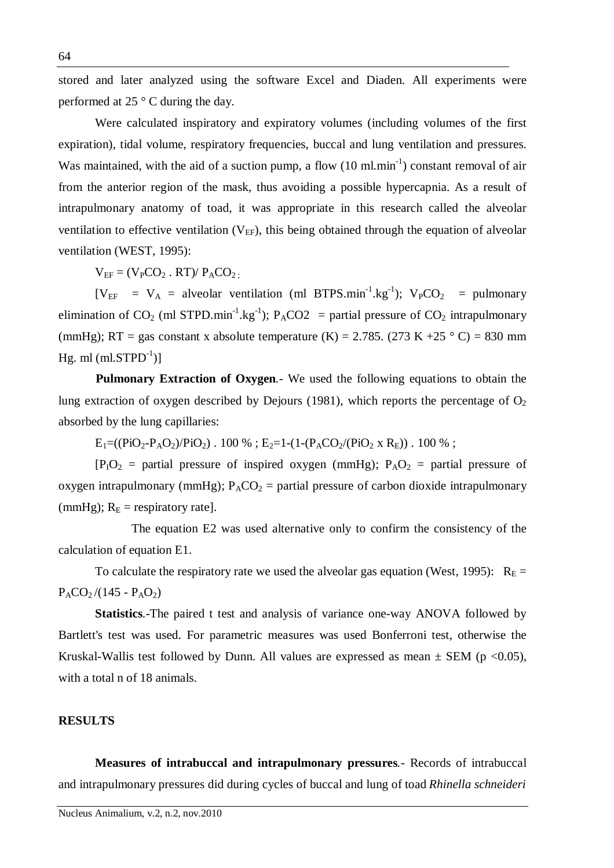stored and later analyzed using the software Excel and Diaden. All experiments were performed at 25 ° C during the day.

Were calculated inspiratory and expiratory volumes (including volumes of the first expiration), tidal volume, respiratory frequencies, buccal and lung ventilation and pressures. Was maintained, with the aid of a suction pump, a flow  $(10 \text{ ml.min}^{-1})$  constant removal of air from the anterior region of the mask, thus avoiding a possible hypercapnia. As a result of intrapulmonary anatomy of toad, it was appropriate in this research called the alveolar ventilation to effective ventilation  $(V_{EF})$ , this being obtained through the equation of alveolar ventilation (WEST, 1995):

 $V_{EF} = (V_PCO_2 \cdot RT)/P_ACO_2$ .

 $[V_{EF} = V_A =$  alveolar ventilation (ml BTPS.min<sup>-1</sup>.kg<sup>-1</sup>);  $V_PCO_2 =$  pulmonary elimination of CO<sub>2</sub> (ml STPD.min<sup>-1</sup>.kg<sup>-1</sup>); P<sub>A</sub>CO2 = partial pressure of CO<sub>2</sub> intrapulmonary (mmHg); RT = gas constant x absolute temperature (K) = 2.785. (273 K +25  $\degree$  C) = 830 mm Hg. ml (ml.STPD $^{-1})$ ]

**Pulmonary Extraction of Oxygen***.-* We used the following equations to obtain the lung extraction of oxygen described by Dejours (1981), which reports the percentage of  $O<sub>2</sub>$ absorbed by the lung capillaries:

 $E_1=(\frac{PiO_2-P_AO_2}{PiO_2})$ . 100 %;  $E_2=1-(1-(P_ACO_2/(PiO_2 \times R_E))$ . 100 %;

 $[P_1O_2 =$  partial pressure of inspired oxygen (mmHg);  $P_AO_2 =$  partial pressure of oxygen intrapulmonary (mmHg);  $P_{A}CO_{2}$  = partial pressure of carbon dioxide intrapulmonary (mmHg);  $R_E$  = respiratory rate].

The equation E2 was used alternative only to confirm the consistency of the calculation of equation E1.

To calculate the respiratory rate we used the alveolar gas equation (West, 1995):  $R_E =$  $P_{A}CO_{2}/(145 - P_{A}O_{2})$ 

**Statistics***.-*The paired t test and analysis of variance one-way ANOVA followed by Bartlett's test was used. For parametric measures was used Bonferroni test, otherwise the Kruskal-Wallis test followed by Dunn. All values are expressed as mean  $\pm$  SEM (p <0.05), with a total n of 18 animals.

## **RESULTS**

**Measures of intrabuccal and intrapulmonary pressures***.-* Records of intrabuccal and intrapulmonary pressures did during cycles of buccal and lung of toad *Rhinella schneideri*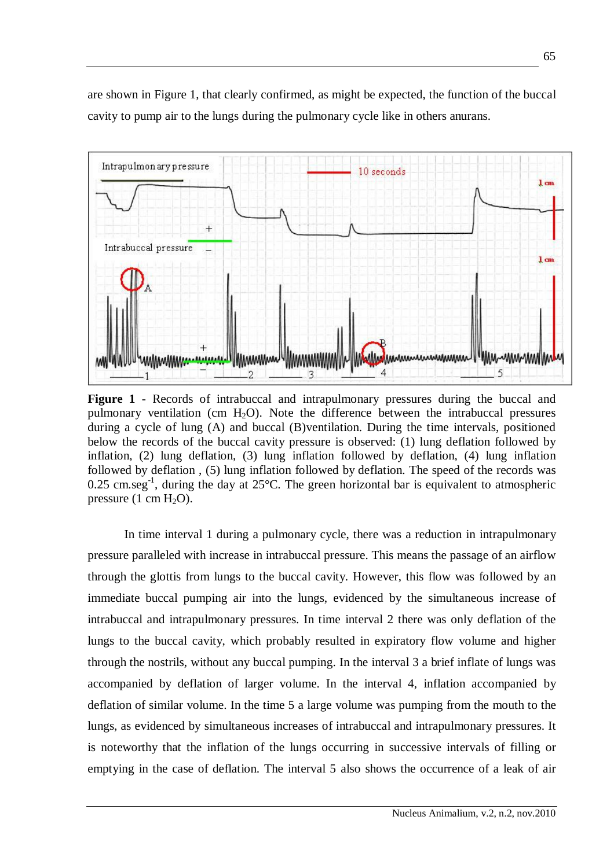are shown in Figure 1, that clearly confirmed, as might be expected, the function of the buccal cavity to pump air to the lungs during the pulmonary cycle like in others anurans.



**Figure 1** - Records of intrabuccal and intrapulmonary pressures during the buccal and pulmonary ventilation (cm  $H_2O$ ). Note the difference between the intrabuccal pressures during a cycle of lung (A) and buccal (B)ventilation. During the time intervals, positioned below the records of the buccal cavity pressure is observed: (1) lung deflation followed by inflation, (2) lung deflation, (3) lung inflation followed by deflation, (4) lung inflation followed by deflation , (5) lung inflation followed by deflation. The speed of the records was 0.25 cm.seg<sup>-1</sup>, during the day at 25 $^{\circ}$ C. The green horizontal bar is equivalent to atmospheric pressure  $(1 \text{ cm } H_2O)$ .

In time interval 1 during a pulmonary cycle, there was a reduction in intrapulmonary pressure paralleled with increase in intrabuccal pressure. This means the passage of an airflow through the glottis from lungs to the buccal cavity. However, this flow was followed by an immediate buccal pumping air into the lungs, evidenced by the simultaneous increase of intrabuccal and intrapulmonary pressures. In time interval 2 there was only deflation of the lungs to the buccal cavity, which probably resulted in expiratory flow volume and higher through the nostrils, without any buccal pumping. In the interval 3 a brief inflate of lungs was accompanied by deflation of larger volume. In the interval 4, inflation accompanied by deflation of similar volume. In the time 5 a large volume was pumping from the mouth to the lungs, as evidenced by simultaneous increases of intrabuccal and intrapulmonary pressures. It is noteworthy that the inflation of the lungs occurring in successive intervals of filling or emptying in the case of deflation. The interval 5 also shows the occurrence of a leak of air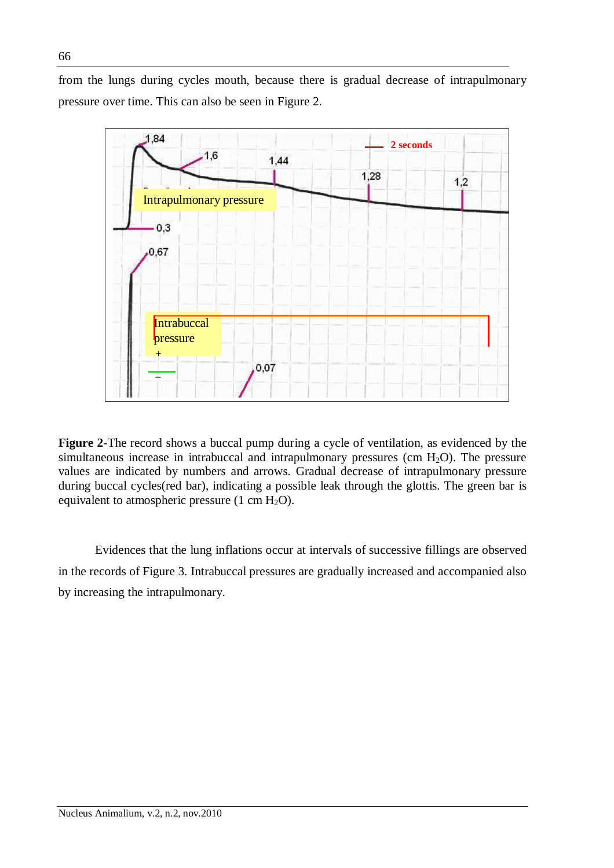from the lungs during cycles mouth, because there is gradual decrease of intrapulmonary pressure over time. This can also be seen in Figure 2.



**Figure 2**-The record shows a buccal pump during a cycle of ventilation, as evidenced by the simultaneous increase in intrabuccal and intrapulmonary pressures (cm  $H_2O$ ). The pressure values are indicated by numbers and arrows. Gradual decrease of intrapulmonary pressure during buccal cycles(red bar), indicating a possible leak through the glottis. The green bar is equivalent to atmospheric pressure  $(1 \text{ cm } H_2\text{O})$ .

Evidences that the lung inflations occur at intervals of successive fillings are observed in the records of Figure 3. Intrabuccal pressures are gradually increased and accompanied also by increasing the intrapulmonary.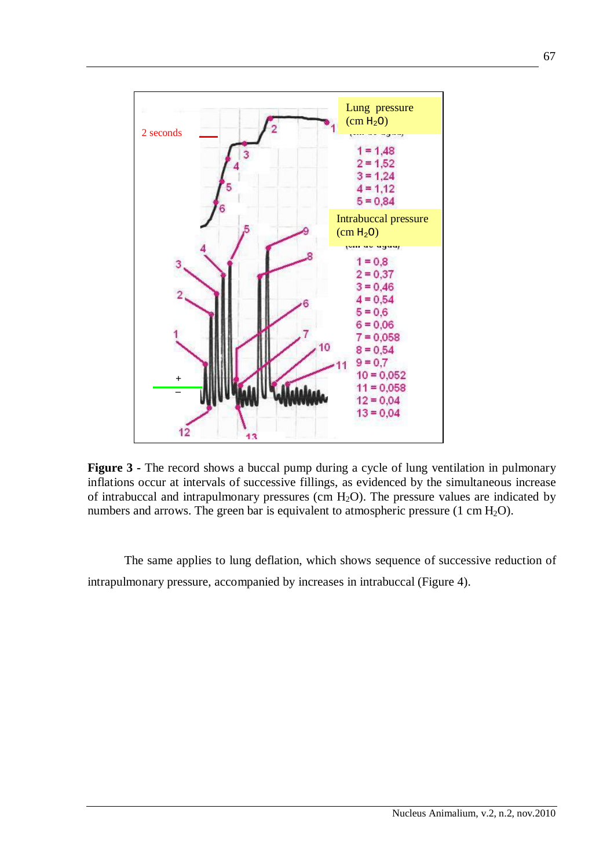

**Figure 3 -** The record shows a buccal pump during a cycle of lung ventilation in pulmonary inflations occur at intervals of successive fillings, as evidenced by the simultaneous increase of intrabuccal and intrapulmonary pressures (cm  $H_2O$ ). The pressure values are indicated by numbers and arrows. The green bar is equivalent to atmospheric pressure  $(1 \text{ cm } H_2O)$ .

The same applies to lung deflation, which shows sequence of successive reduction of intrapulmonary pressure, accompanied by increases in intrabuccal (Figure 4).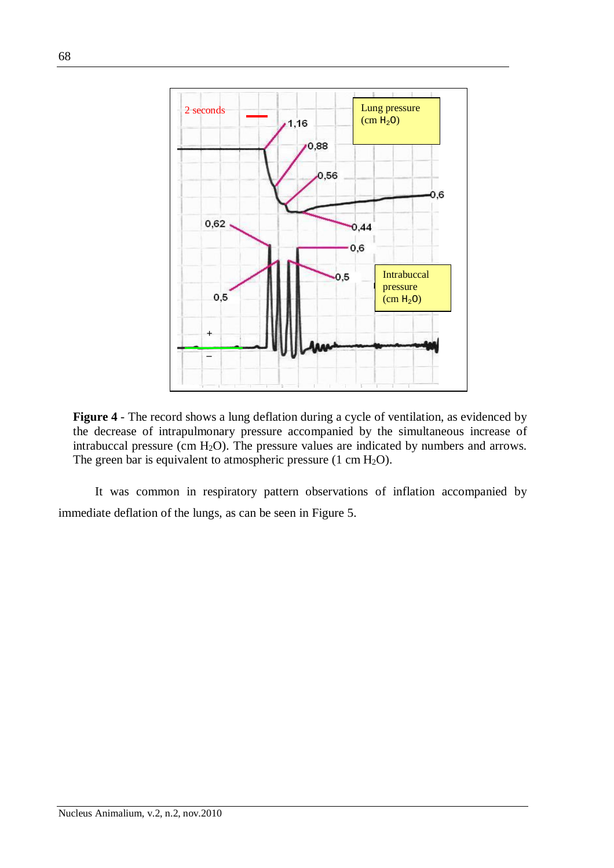

**Figure 4** - The record shows a lung deflation during a cycle of ventilation, as evidenced by the decrease of intrapulmonary pressure accompanied by the simultaneous increase of intrabuccal pressure (cm  $H_2O$ ). The pressure values are indicated by numbers and arrows. The green bar is equivalent to atmospheric pressure  $(1 \text{ cm } H_2\text{O})$ .

It was common in respiratory pattern observations of inflation accompanied by immediate deflation of the lungs, as can be seen in Figure 5.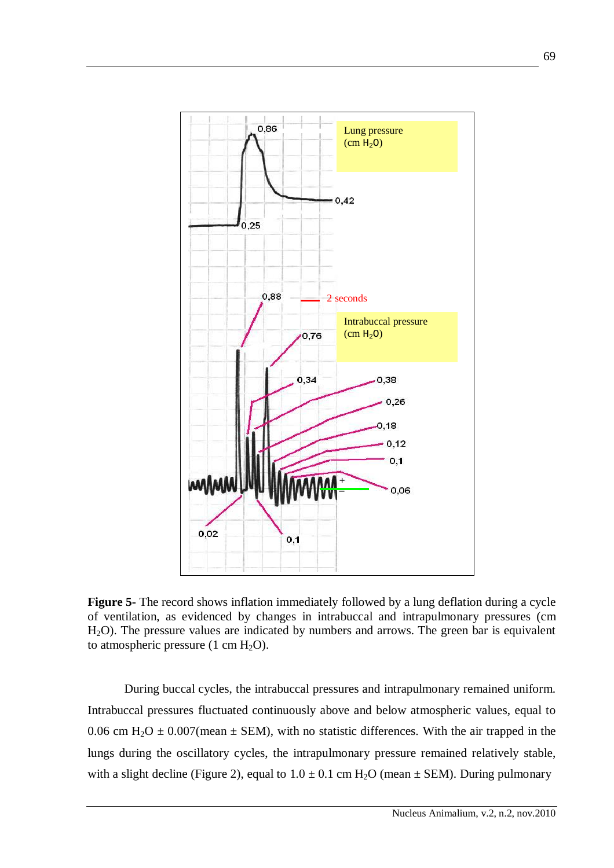

**Figure 5-** The record shows inflation immediately followed by a lung deflation during a cycle of ventilation, as evidenced by changes in intrabuccal and intrapulmonary pressures (cm H2O). The pressure values are indicated by numbers and arrows. The green bar is equivalent to atmospheric pressure  $(1 \text{ cm } H_2\text{O})$ .

During buccal cycles, the intrabuccal pressures and intrapulmonary remained uniform. Intrabuccal pressures fluctuated continuously above and below atmospheric values, equal to 0.06 cm H<sub>2</sub>O  $\pm$  0.007(mean  $\pm$  SEM), with no statistic differences. With the air trapped in the lungs during the oscillatory cycles, the intrapulmonary pressure remained relatively stable, with a slight decline (Figure 2), equal to  $1.0 \pm 0.1$  cm H<sub>2</sub>O (mean  $\pm$  SEM). During pulmonary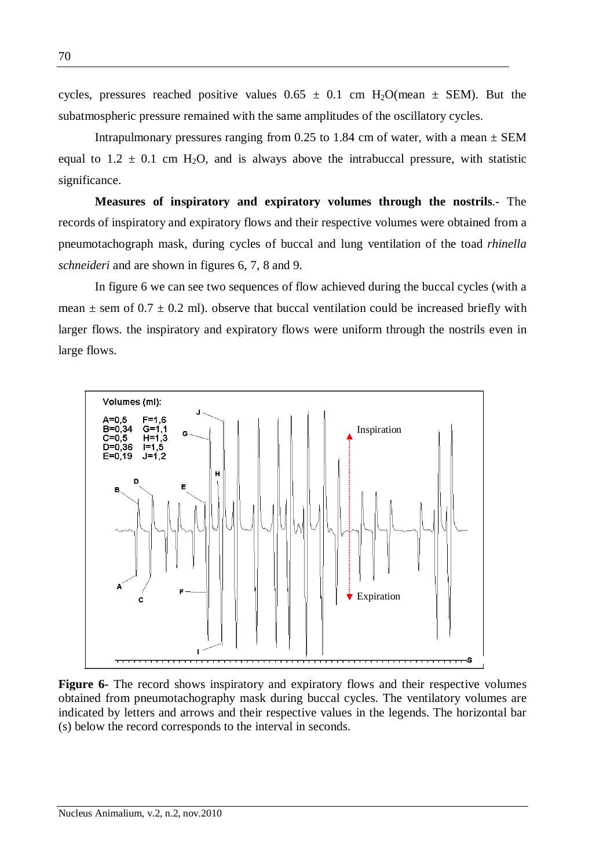cycles, pressures reached positive values  $0.65 \pm 0.1$  cm H<sub>2</sub>O(mean  $\pm$  SEM). But the subatmospheric pressure remained with the same amplitudes of the oscillatory cycles.

Intrapulmonary pressures ranging from 0.25 to 1.84 cm of water, with a mean  $\pm$  SEM equal to  $1.2 \pm 0.1$  cm H<sub>2</sub>O, and is always above the intrabuccal pressure, with statistic significance.

**Measures of inspiratory and expiratory volumes through the nostrils**.- The records of inspiratory and expiratory flows and their respective volumes were obtained from a pneumotachograph mask, during cycles of buccal and lung ventilation of the toad *rhinella schneideri* and are shown in figures 6, 7, 8 and 9.

In figure 6 we can see two sequences of flow achieved during the buccal cycles (with a mean  $\pm$  sem of 0.7  $\pm$  0.2 ml). observe that buccal ventilation could be increased briefly with larger flows. the inspiratory and expiratory flows were uniform through the nostrils even in large flows.



**Figure 6-** The record shows inspiratory and expiratory flows and their respective volumes obtained from pneumotachography mask during buccal cycles. The ventilatory volumes are indicated by letters and arrows and their respective values in the legends. The horizontal bar (s) below the record corresponds to the interval in seconds.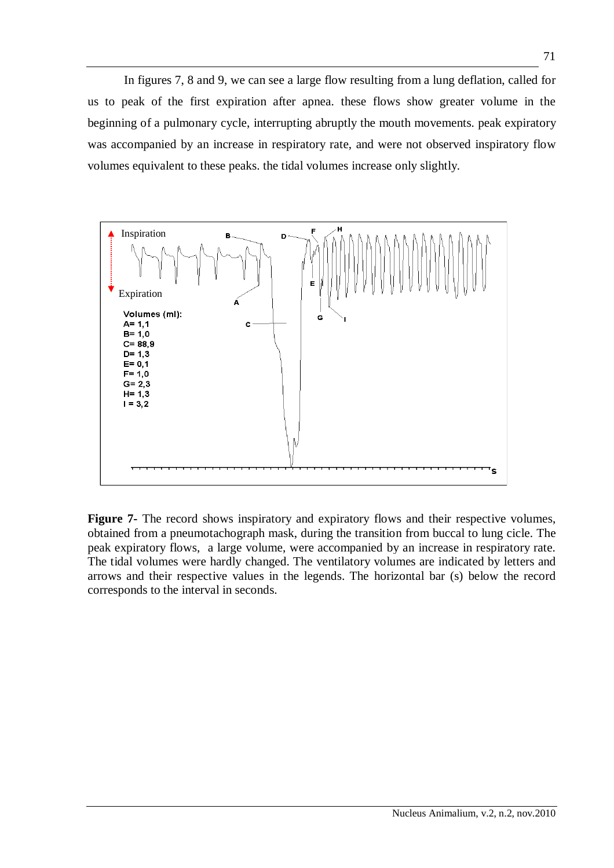In figures 7, 8 and 9, we can see a large flow resulting from a lung deflation, called for us to peak of the first expiration after apnea. these flows show greater volume in the beginning of a pulmonary cycle, interrupting abruptly the mouth movements. peak expiratory was accompanied by an increase in respiratory rate, and were not observed inspiratory flow volumes equivalent to these peaks. the tidal volumes increase only slightly.



**Figure 7-** The record shows inspiratory and expiratory flows and their respective volumes, obtained from a pneumotachograph mask, during the transition from buccal to lung cicle. The peak expiratory flows, a large volume, were accompanied by an increase in respiratory rate. The tidal volumes were hardly changed. The ventilatory volumes are indicated by letters and arrows and their respective values in the legends. The horizontal bar (s) below the record corresponds to the interval in seconds.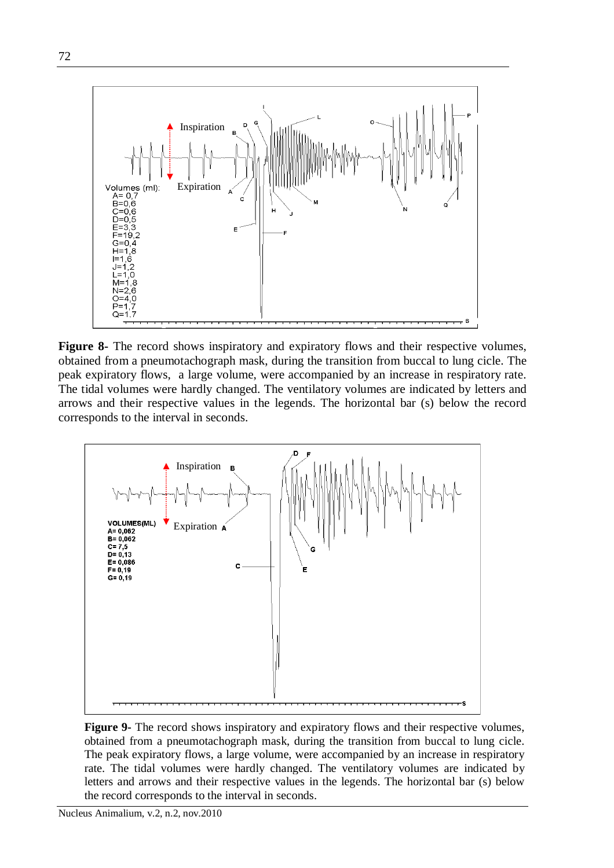

**Figure 8-** The record shows inspiratory and expiratory flows and their respective volumes, obtained from a pneumotachograph mask, during the transition from buccal to lung cicle. The peak expiratory flows, a large volume, were accompanied by an increase in respiratory rate. The tidal volumes were hardly changed. The ventilatory volumes are indicated by letters and arrows and their respective values in the legends. The horizontal bar (s) below the record corresponds to the interval in seconds.



**Figure 9-** The record shows inspiratory and expiratory flows and their respective volumes, obtained from a pneumotachograph mask, during the transition from buccal to lung cicle. The peak expiratory flows, a large volume, were accompanied by an increase in respiratory rate. The tidal volumes were hardly changed. The ventilatory volumes are indicated by letters and arrows and their respective values in the legends. The horizontal bar (s) below the record corresponds to the interval in seconds.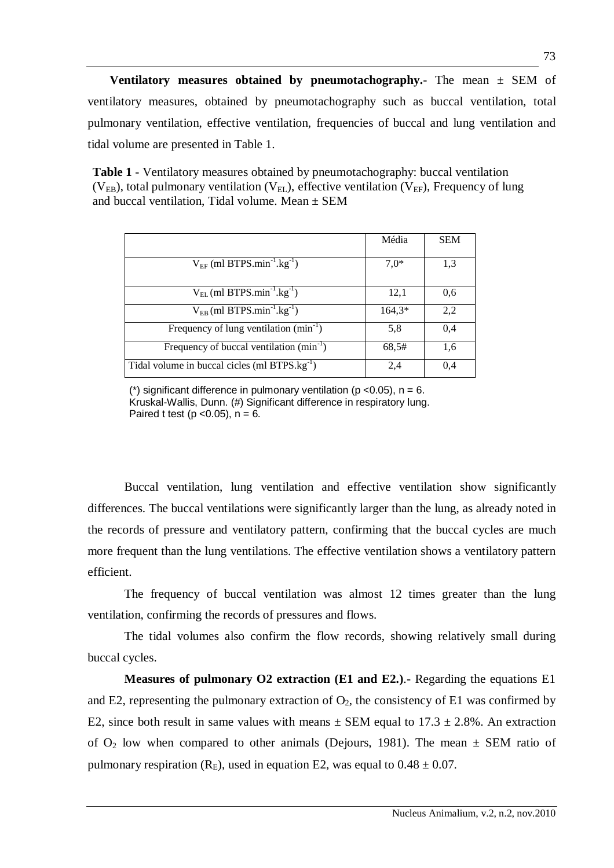**Ventilatory measures obtained by pneumotachography.**- The mean  $\pm$  SEM of ventilatory measures, obtained by pneumotachography such as buccal ventilation, total pulmonary ventilation, effective ventilation, frequencies of buccal and lung ventilation and tidal volume are presented in Table 1.

**Table 1** - Ventilatory measures obtained by pneumotachography: buccal ventilation ( $V_{EB}$ ), total pulmonary ventilation ( $V_{EL}$ ), effective ventilation ( $V_{EF}$ ), Frequency of lung and buccal ventilation. Tidal volume. Mean  $\pm$  SEM

|                                                           | Média    | <b>SEM</b> |
|-----------------------------------------------------------|----------|------------|
| $V_{EF}$ (ml BTPS.min <sup>-1</sup> .kg <sup>-1</sup> )   | $7,0*$   | 1,3        |
| $V_{EL}$ (ml BTPS.min <sup>-1</sup> .kg <sup>-1</sup> )   | 12,1     | 0,6        |
| $V_{EB}$ (ml BTPS.min <sup>-1</sup> .kg <sup>-1</sup> )   | $164,3*$ | 2,2        |
| Frequency of lung ventilation $(min^{-1})$                | 5,8      | 0.4        |
| Frequency of buccal ventilation $(min^{-1})$              | 68,5#    | 1.6        |
| Tidal volume in buccal cicles (ml BTPS.kg <sup>-1</sup> ) | 2,4      | 0.4        |

(\*) significant difference in pulmonary ventilation ( $p$  <0.05),  $n = 6$ . Kruskal-Wallis, Dunn. (#) Significant difference in respiratory lung. Paired t test ( $p$  < 0.05),  $n = 6$ .

Buccal ventilation, lung ventilation and effective ventilation show significantly differences. The buccal ventilations were significantly larger than the lung, as already noted in the records of pressure and ventilatory pattern, confirming that the buccal cycles are much more frequent than the lung ventilations. The effective ventilation shows a ventilatory pattern efficient.

The frequency of buccal ventilation was almost 12 times greater than the lung ventilation, confirming the records of pressures and flows.

The tidal volumes also confirm the flow records, showing relatively small during buccal cycles.

**Measures of pulmonary O2 extraction (E1 and E2.)**.- Regarding the equations E1 and E2, representing the pulmonary extraction of  $O_2$ , the consistency of E1 was confirmed by E2, since both result in same values with means  $\pm$  SEM equal to 17.3  $\pm$  2.8%. An extraction of  $O_2$  low when compared to other animals (Dejours, 1981). The mean  $\pm$  SEM ratio of pulmonary respiration ( $R_E$ ), used in equation E2, was equal to  $0.48 \pm 0.07$ .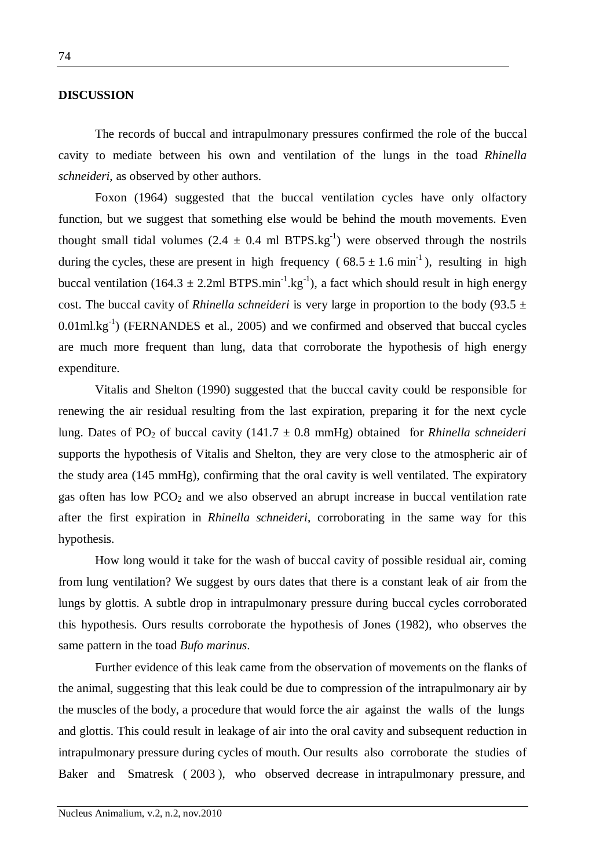#### **DISCUSSION**

The records of buccal and intrapulmonary pressures confirmed the role of the buccal cavity to mediate between his own and ventilation of the lungs in the toad *Rhinella schneideri*, as observed by other authors.

Foxon (1964) suggested that the buccal ventilation cycles have only olfactory function, but we suggest that something else would be behind the mouth movements. Even thought small tidal volumes  $(2.4 \pm 0.4 \text{ ml BTPS} \text{ kg}^{-1})$  were observed through the nostrils during the cycles, these are present in high frequency ( $68.5 \pm 1.6$  min<sup>-1</sup>), resulting in high buccal ventilation (164.3  $\pm$  2.2ml BTPS.min<sup>-1</sup>.kg<sup>-1</sup>), a fact which should result in high energy cost. The buccal cavity of *Rhinella schneideri* is very large in proportion to the body (93.5  $\pm$  $0.01$ ml.kg<sup>-1</sup>) (FERNANDES et al., 2005) and we confirmed and observed that buccal cycles are much more frequent than lung, data that corroborate the hypothesis of high energy expenditure.

Vitalis and Shelton (1990) suggested that the buccal cavity could be responsible for renewing the air residual resulting from the last expiration, preparing it for the next cycle lung. Dates of PO<sub>2</sub> of buccal cavity (141.7  $\pm$  0.8 mmHg) obtained for *Rhinella schneideri* supports the hypothesis of Vitalis and Shelton, they are very close to the atmospheric air of the study area (145 mmHg), confirming that the oral cavity is well ventilated. The expiratory gas often has low  $PCO<sub>2</sub>$  and we also observed an abrupt increase in buccal ventilation rate after the first expiration in *Rhinella schneideri*, corroborating in the same way for this hypothesis.

How long would it take for the wash of buccal cavity of possible residual air, coming from lung ventilation? We suggest by ours dates that there is a constant leak of air from the lungs by glottis. A subtle drop in intrapulmonary pressure during buccal cycles corroborated this hypothesis. Ours results corroborate the hypothesis of Jones (1982), who observes the same pattern in the toad *Bufo marinus*.

Further evidence of this leak came from the observation of movements on the flanks of the animal, suggesting that this leak could be due to compression of the intrapulmonary air by the muscles of the body, a procedure that would force the air against the walls of the lungs and glottis. This could result in leakage of air into the oral cavity and subsequent reduction in intrapulmonary pressure during cycles of mouth. Our results also corroborate the studies of Baker and Smatresk ( 2003 ), who observed decrease in intrapulmonary pressure, and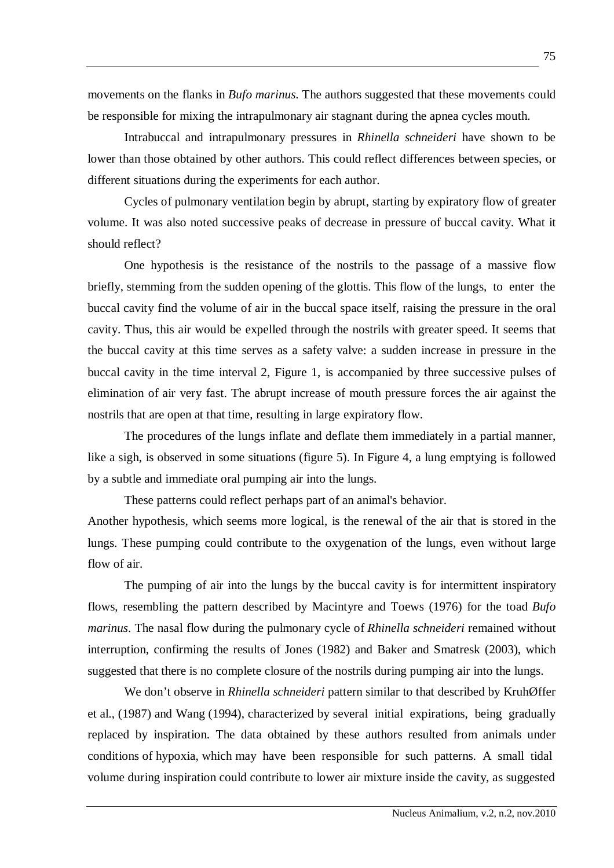movements on the flanks in *Bufo marinus*. The authors suggested that these movements could be responsible for mixing the intrapulmonary air stagnant during the apnea cycles mouth.

Intrabuccal and intrapulmonary pressures in *Rhinella schneideri* have shown to be lower than those obtained by other authors. This could reflect differences between species, or different situations during the experiments for each author.

Cycles of pulmonary ventilation begin by abrupt, starting by expiratory flow of greater volume. It was also noted successive peaks of decrease in pressure of buccal cavity. What it should reflect?

One hypothesis is the resistance of the nostrils to the passage of a massive flow briefly, stemming from the sudden opening of the glottis. This flow of the lungs, to enter the buccal cavity find the volume of air in the buccal space itself, raising the pressure in the oral cavity. Thus, this air would be expelled through the nostrils with greater speed. It seems that the buccal cavity at this time serves as a safety valve: a sudden increase in pressure in the buccal cavity in the time interval 2, Figure 1, is accompanied by three successive pulses of elimination of air very fast. The abrupt increase of mouth pressure forces the air against the nostrils that are open at that time, resulting in large expiratory flow.

The procedures of the lungs inflate and deflate them immediately in a partial manner, like a sigh, is observed in some situations (figure 5). In Figure 4, a lung emptying is followed by a subtle and immediate oral pumping air into the lungs.

These patterns could reflect perhaps part of an animal's behavior.

Another hypothesis, which seems more logical, is the renewal of the air that is stored in the lungs. These pumping could contribute to the oxygenation of the lungs, even without large flow of air.

The pumping of air into the lungs by the buccal cavity is for intermittent inspiratory flows, resembling the pattern described by Macintyre and Toews (1976) for the toad *Bufo marinus*. The nasal flow during the pulmonary cycle of *Rhinella schneideri* remained without interruption, confirming the results of Jones (1982) and Baker and Smatresk (2003), which suggested that there is no complete closure of the nostrils during pumping air into the lungs.

We don't observe in *Rhinella schneideri* pattern similar to that described by KruhØffer et al., (1987) and Wang (1994), characterized by several initial expirations, being gradually replaced by inspiration. The data obtained by these authors resulted from animals under conditions of hypoxia, which may have been responsible for such patterns. A small tidal volume during inspiration could contribute to lower air mixture inside the cavity, as suggested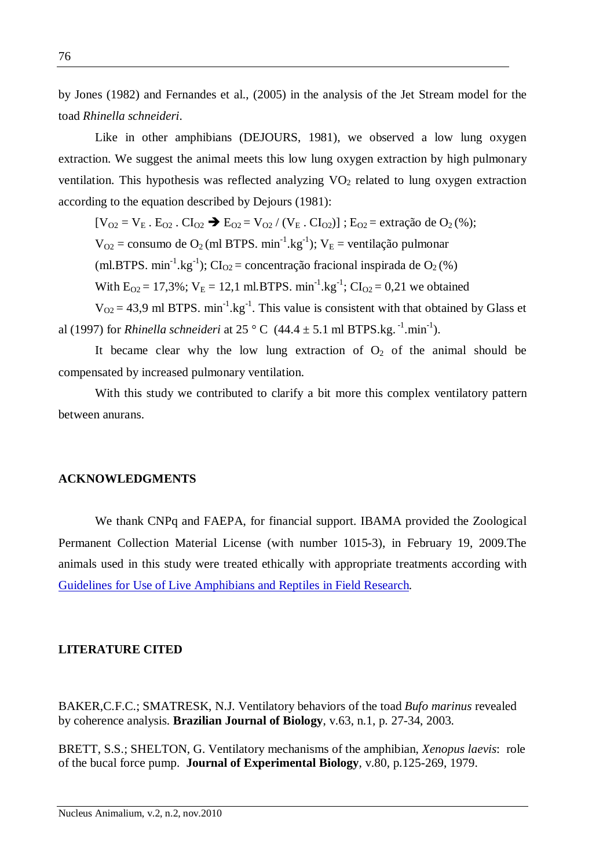by Jones (1982) and Fernandes et al., (2005) in the analysis of the Jet Stream model for the toad *Rhinella schneideri*.

Like in other amphibians (DEJOURS, 1981), we observed a low lung oxygen extraction. We suggest the animal meets this low lung oxygen extraction by high pulmonary ventilation. This hypothesis was reflected analyzing  $VO<sub>2</sub>$  related to lung oxygen extraction according to the equation described by Dejours (1981):

 $[V_{O2} = V_{E}$ .  $E_{O2}$ .  $Cl_{O2} \rightarrow E_{O2} = V_{O2} / (V_{E}$ .  $Cl_{O2})$ ];  $E_{O2} =$  extração de  $O_{2}$ (%);

 $V_{O2}$  = consumo de O<sub>2</sub> (ml BTPS. min<sup>-1</sup>.kg<sup>-1</sup>);  $V_E$  = ventilação pulmonar

(ml.BTPS. min<sup>-1</sup>.kg<sup>-1</sup>); CI<sub>O2</sub> = concentração fracional inspirada de O<sub>2</sub>(%)

With  $E_{O2} = 17,3\%$ ;  $V_E = 12,1$  ml.BTPS. min<sup>-1</sup>.kg<sup>-1</sup>;  $CI_{O2} = 0,21$  we obtained

 $V_{O2} = 43.9$  ml BTPS. min<sup>-1</sup>.kg<sup>-1</sup>. This value is consistent with that obtained by Glass et al (1997) for *Rhinella schneideri* at 25  $^{\circ}$  C (44.4  $\pm$  5.1 ml BTPS.kg.<sup>-1</sup>.min<sup>-1</sup>).

It became clear why the low lung extraction of  $O<sub>2</sub>$  of the animal should be compensated by increased pulmonary ventilation.

With this study we contributed to clarify a bit more this complex ventilatory pattern between anurans.

### **ACKNOWLEDGMENTS**

We thank CNPq and FAEPA, for financial support. IBAMA provided the Zoological Permanent Collection Material License (with number 1015-3), in February 19, 2009.The animals used in this study were treated ethically with appropriate treatments according with Guidelines for Use of Live Amphibians and Reptiles in Field Research.

#### **LITERATURE CITED**

BAKER,C.F.C.; SMATRESK, N.J. Ventilatory behaviors of the toad *Bufo marinus* revealed by coherence analysis. **Brazilian Journal of Biology**, v.63, n.1, p. 27-34, 2003.

BRETT, S.S.; SHELTON, G. Ventilatory mechanisms of the amphibian, *Xenopus laevis*: role of the bucal force pump. **Journal of Experimental Biology***,* v.80, p.125-269, 1979.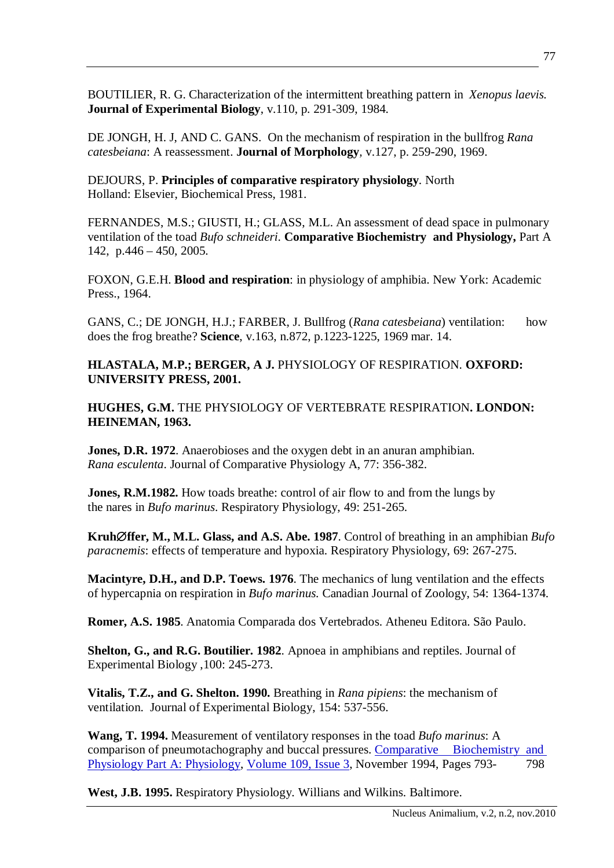BOUTILIER, R. G. Characterization of the intermittent breathing pattern in *Xenopus laevis.*  **Journal of Experimental Biology**, v.110, p. 291-309, 1984.

DE JONGH, H. J, AND C. GANS. On the mechanism of respiration in the bullfrog *Rana catesbeiana*: A reassessment. **Journal of Morphology***,* v.127, p. 259-290, 1969.

DEJOURS, P. **Principles of comparative respiratory physiology**. North Holland: Elsevier, Biochemical Press, 1981.

FERNANDES, M.S.; GIUSTI, H.; GLASS, M.L. An assessment of dead space in pulmonary ventilation of the toad *Bufo schneideri*. **Comparative Biochemistry and Physiology,** Part A 142, p.446 – 450, 2005.

FOXON, G.E.H. **Blood and respiration**: in physiology of amphibia. New York: Academic Press., 1964.

GANS, C.; DE JONGH, H.J.; FARBER, J. Bullfrog (*Rana catesbeiana*) ventilation: how does the frog breathe? **Science**, v.163, n.872, p.1223-1225, 1969 mar. 14.

**HLASTALA, M.P.; BERGER, A J.** PHYSIOLOGY OF RESPIRATION. **OXFORD: UNIVERSITY PRESS, 2001.**

**HUGHES, G.M.** THE PHYSIOLOGY OF VERTEBRATE RESPIRATION**. LONDON: HEINEMAN, 1963.**

**Jones, D.R. 1972**. Anaerobioses and the oxygen debt in an anuran amphibian. *Rana esculenta*. Journal of Comparative Physiology A, 77: 356-382.

**Jones, R.M.1982.** How toads breathe: control of air flow to and from the lungs by the nares in *Bufo marinus*. Respiratory Physiology, 49: 251-265.

**Kruhffer, M., M.L. Glass, and A.S. Abe. 1987**. Control of breathing in an amphibian *Bufo paracnemis*: effects of temperature and hypoxia. Respiratory Physiology, 69: 267-275.

**Macintyre, D.H., and D.P. Toews. 1976**. The mechanics of lung ventilation and the effects of hypercapnia on respiration in *Bufo marinus.* Canadian Journal of Zoology, 54: 1364-1374.

**Romer, A.S. 1985**. Anatomia Comparada dos Vertebrados. Atheneu Editora. São Paulo.

**Shelton, G., and R.G. Boutilier. 1982**. Apnoea in amphibians and reptiles. Journal of Experimental Biology ,100: 245-273.

**Vitalis, T.Z., and G. Shelton. 1990.** Breathing in *Rana pipiens*: the mechanism of ventilation. Journal of Experimental Biology, 154: 537-556.

**Wang, T. 1994.** Measurement of ventilatory responses in the toad *Bufo marinus*: A comparison of pneumotachography and buccal pressures. Comparative Biochemistry and Physiology Part A: Physiology, Volume 109, Issue 3, November 1994, Pages 793- 798

**West, J.B. 1995.** Respiratory Physiology. Willians and Wilkins. Baltimore.